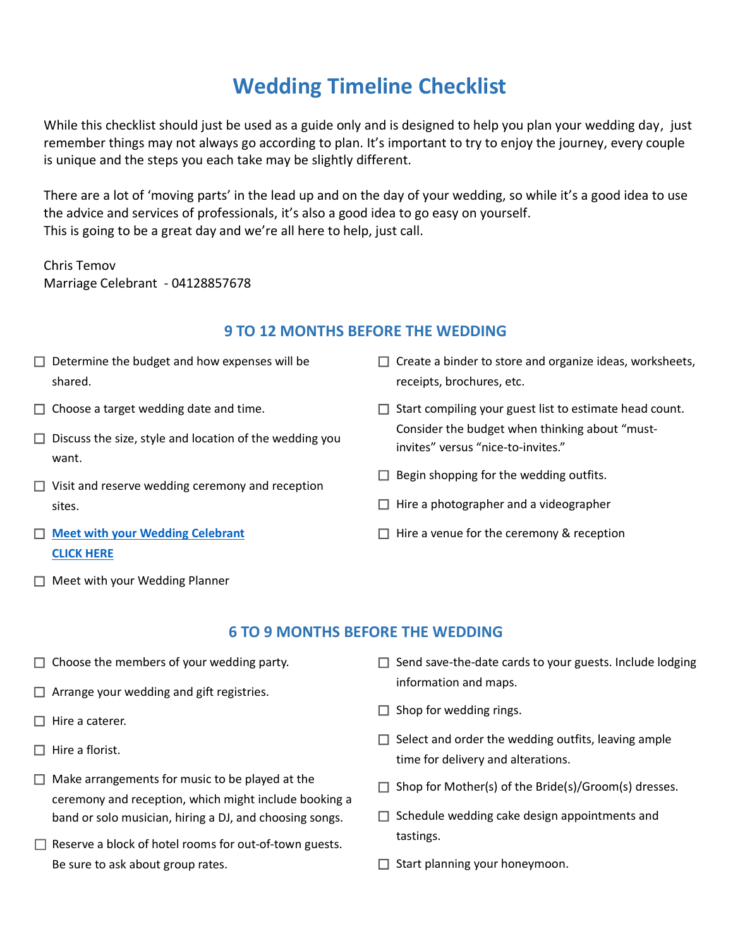# **Wedding Timeline Checklist**

While this checklist should just be used as a guide only and is designed to help you plan your wedding day, just remember things may not always go according to plan. It's important to try to enjoy the journey, every couple is unique and the steps you each take may be slightly different.

There are a lot of 'moving parts' in the lead up and on the day of your wedding, so while it's a good idea to use the advice and services of professionals, it's also a good idea to go easy on yourself. This is going to be a great day and we're all here to help, just call.

Chris Temov Marriage Celebrant - 04128857678

#### **9 TO 12 MONTHS BEFORE THE WEDDING**

- $\Box$  Determine the budget and how expenses will be shared.
- $\Box$  Choose a target wedding date and time.
- $\Box$  Discuss the size, style and location of the wedding you want.
- $\Box$  Visit and reserve wedding ceremony and reception sites.
- ☐ **[Meet with your Wedding Celebrant](http://www.christemov.com.au/)  [CLICK HERE](http://www.christemov.com.au/)**
- □ Create a binder to store and organize ideas, worksheets, receipts, brochures, etc.
- ☐ Start compiling your guest list to estimate head count. Consider the budget when thinking about "mustinvites" versus "nice-to-invites."
- $\Box$  Begin shopping for the wedding outfits.
- $\Box$  Hire a photographer and a videographer
- $\Box$  Hire a venue for the ceremony & reception

 $\Box$  Meet with your Wedding Planner

### **6 TO 9 MONTHS BEFORE THE WEDDING**

- $\Box$  Choose the members of your wedding party.
- $\Box$  Arrange your wedding and gift registries.
- □ Hire a caterer.
- $\Box$  Hire a florist.
- $\Box$  Make arrangements for music to be played at the ceremony and reception, which might include booking a band or solo musician, hiring a DJ, and choosing songs.
- $\Box$  Reserve a block of hotel rooms for out-of-town guests. Be sure to ask about group rates.
- $\Box$  Send save-the-date cards to your guests. Include lodging information and maps.
- $\Box$  Shop for wedding rings.
- $\Box$  Select and order the wedding outfits, leaving ample time for delivery and alterations.
- $\Box$  Shop for Mother(s) of the Bride(s)/Groom(s) dresses.
- $\Box$  Schedule wedding cake design appointments and tastings.
- $\Box$  Start planning your honeymoon.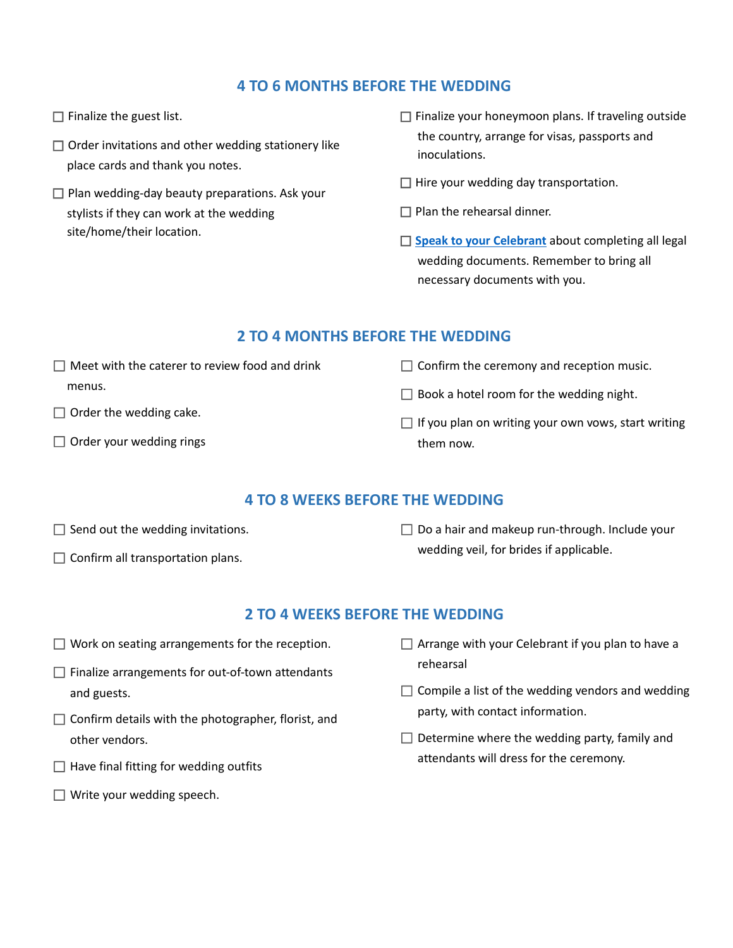## **4 TO 6 MONTHS BEFORE THE WEDDING**

- $\Box$  Finalize the guest list.
- $\Box$  Order invitations and other wedding stationery like place cards and thank you notes.
- $\Box$  Plan wedding-day beauty preparations. Ask your stylists if they can work at the wedding site/home/their location.
- $\Box$  Finalize your honeymoon plans. If traveling outside the country, arrange for visas, passports and inoculations.
- $\Box$  Hire your wedding day transportation.
- $\Box$  Plan the rehearsal dinner.
- □ **[Speak to your Celebrant](http://www.christemov.com.au/)** about completing all legal wedding documents. Remember to bring all necessary documents with you.

### **2 TO 4 MONTHS BEFORE THE WEDDING**

- $\Box$  Meet with the caterer to review food and drink menus.
- $\Box$  Order the wedding cake.
- $\Box$  Order your wedding rings
- $\Box$  Confirm the ceremony and reception music.
- $\Box$  Book a hotel room for the wedding night.
- $\Box$  If you plan on writing your own vows, start writing them now.

### **4 TO 8 WEEKS BEFORE THE WEDDING**

- $\Box$  Send out the wedding invitations.
- $\Box$  Confirm all transportation plans.

 $\Box$  Do a hair and makeup run-through. Include your wedding veil, for brides if applicable.

## **2 TO 4 WEEKS BEFORE THE WEDDING**

- $\Box$  Work on seating arrangements for the reception.
- $\Box$  Finalize arrangements for out-of-town attendants and guests.
- $\Box$  Confirm details with the photographer, florist, and other vendors.
- $\Box$  Have final fitting for wedding outfits
- $\Box$  Write your wedding speech.
- $\Box$  Arrange with your Celebrant if you plan to have a rehearsal
- $\Box$  Compile a list of the wedding vendors and wedding party, with contact information.
- $\Box$  Determine where the wedding party, family and attendants will dress for the ceremony.